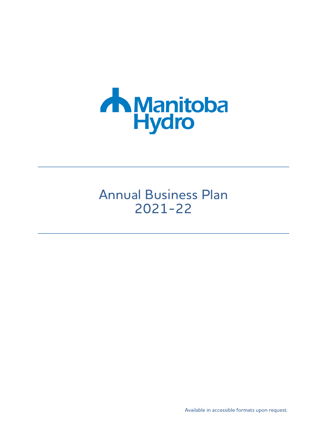

Annual Business Plan 2021-22

Available in accessible formats upon request.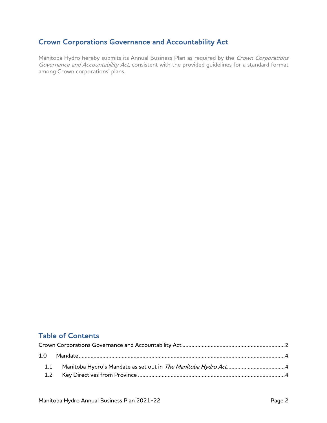## Crown Corporations Governance and Accountability Act

Manitoba Hydro hereby submits its Annual Business Plan as required by the Crown Corporations Governance and Accountability Act, consistent with the provided guidelines for a standard format among Crown corporations' plans.

## Table of Contents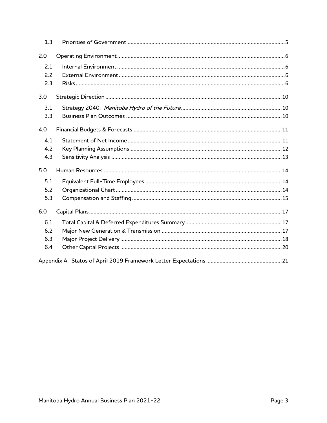| 1.3 |  |
|-----|--|
| 2.0 |  |
| 2.1 |  |
| 2.2 |  |
| 2.3 |  |
| 3.0 |  |
| 3.1 |  |
| 3.3 |  |
| 4.0 |  |
| 4.1 |  |
| 4.2 |  |
| 4.3 |  |
| 5.0 |  |
| 5.1 |  |
| 5.2 |  |
| 5.3 |  |
| 6.0 |  |
| 6.1 |  |
| 6.2 |  |
| 6.3 |  |
| 6.4 |  |
|     |  |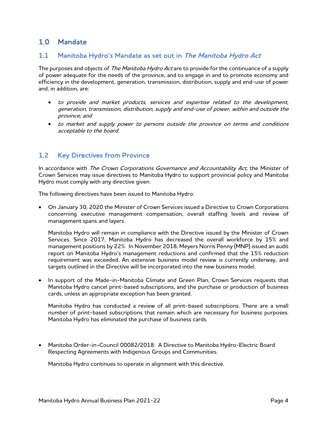## 1.0 Mandate

### 1.1 Manitoba Hydro's Mandate as set out in The Manitoba Hydro Act

The purposes and objects of The Manitoba Hydro Act are to provide for the continuance of a supply of power adequate for the needs of the province, and to engage in and to promote economy and efficiency in the development, generation, transmission, distribution, supply and end-use of power and, in addition, are:

- to provide and market products, services and expertise related to the development, generation, transmission, distribution, supply and end-use of power, within and outside the province; and
- to market and supply power to persons outside the province on terms and conditions acceptable to the board.

### 1.2 Key Directives from Province

In accordance with The Crown Corporations Governance and Accountability Act, the Minister of Crown Services may issue directives to Manitoba Hydro to support provincial policy and Manitoba Hydro must comply with any directive given.

The following directives have been issued to Manitoba Hydro:

• On January 30, 2020 the Minister of Crown Services issued a Directive to Crown Corporations concerning executive management compensation, overall staffing levels and review of management spans and layers.

Manitoba Hydro will remain in compliance with the Directive issued by the Minister of Crown Services. Since 2017, Manitoba Hydro has decreased the overall workforce by 15% and management positions by 22%. In November 2018, Meyers Norris Penny (MNP) issued an audit report on Manitoba Hydro's management reductions and confirmed that the 15% reduction requirement was exceeded. An extensive business model review is currently underway, and targets outlined in the Directive will be incorporated into the new business model.

• In support of the Made-in-Manitoba Climate and Green Plan, Crown Services requests that Manitoba Hydro cancel print-based subscriptions, and the purchase or production of business cards, unless an appropriate exception has been granted.

Manitoba Hydro has conducted a review of all print-based subscriptions. There are a small number of print-based subscriptions that remain which are necessary for business purposes. Manitoba Hydro has eliminated the purchase of business cards.

• Manitoba Order-in-Council 00082/2018: A Directive to Manitoba Hydro-Electric Board Respecting Agreements with Indigenous Groups and Communities.

Manitoba Hydro continues to operate in alignment with this directive.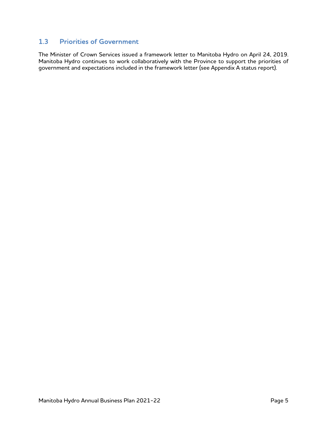## 1.3 Priorities of Government

The Minister of Crown Services issued a framework letter to Manitoba Hydro on April 24, 2019. Manitoba Hydro continues to work collaboratively with the Province to support the priorities of government and expectations included in the framework letter (see Appendix A status report).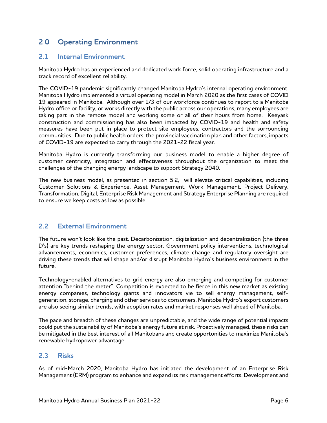## 2.0 Operating Environment

### 2.1 Internal Environment

Manitoba Hydro has an experienced and dedicated work force, solid operating infrastructure and a track record of excellent reliability.

The COVID-19 pandemic significantly changed Manitoba Hydro's internal operating environment. Manitoba Hydro implemented a virtual operating model in March 2020 as the first cases of COVID 19 appeared in Manitoba. Although over 1/3 of our workforce continues to report to a Manitoba Hydro office or facility, or works directly with the public across our operations, many employees are taking part in the remote model and working some or all of their hours from home. Keeyask construction and commissioning has also been impacted by COVID-19 and health and safety measures have been put in place to protect site employees, contractors and the surrounding communities. Due to public health orders, the provincial vaccination plan and other factors, impacts of COVID-19 are expected to carry through the 2021-22 fiscal year.

Manitoba Hydro is currently transforming our business model to enable a higher degree of customer centricity, integration and effectiveness throughout the organization to meet the challenges of the changing energy landscape to support Strategy 2040.

The new business model, as presented in section 5.2, will elevate critical capabilities, including Customer Solutions & Experience, Asset Management, Work Management, Project Delivery, Transformation, Digital, Enterprise Risk Management and Strategy Enterprise Planning are required to ensure we keep costs as low as possible.

### 2.2 External Environment

The future won't look like the past. Decarbonization, digitalization and decentralization (the three D's) are key trends reshaping the energy sector. Government policy interventions, technological advancements, economics, customer preferences, climate change and regulatory oversight are driving these trends that will shape and/or disrupt Manitoba Hydro's business environment in the future.

Technology-enabled alternatives to grid energy are also emerging and competing for customer attention "behind the meter". Competition is expected to be fierce in this new market as existing energy companies, technology giants and innovators vie to sell energy management, selfgeneration, storage, charging and other services to consumers. Manitoba Hydro's export customers are also seeing similar trends, with adoption rates and market responses well ahead of Manitoba.

The pace and breadth of these changes are unpredictable, and the wide range of potential impacts could put the sustainability of Manitoba's energy future at risk. Proactively managed, these risks can be mitigated in the best interest of all Manitobans and create opportunities to maximize Manitoba's renewable hydropower advantage.

### 2.3 Risks

As of mid-March 2020, Manitoba Hydro has initiated the development of an Enterprise Risk Management (ERM) program to enhance and expand its risk management efforts. Development and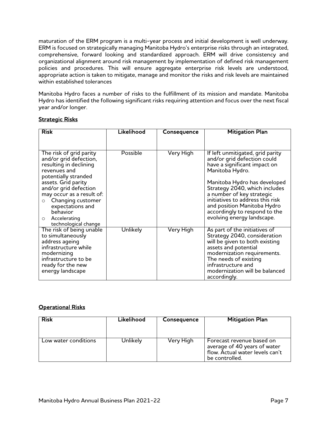maturation of the ERM program is a multi-year process and initial development is well underway. ERM is focused on strategically managing Manitoba Hydro's enterprise risks through an integrated, comprehensive, forward looking and standardized approach. ERM will drive consistency and organizational alignment around risk management by implementation of defined risk management policies and procedures. This will ensure aggregate enterprise risk levels are understood, appropriate action is taken to mitigate, manage and monitor the risks and risk levels are maintained within established tolerances

Manitoba Hydro faces a number of risks to the fulfillment of its mission and mandate. Manitoba Hydro has identified the following significant risks requiring attention and focus over the next fiscal year and/or longer.

| <b>Risk</b>                                                                                                                                                             | Likelihood | Consequence | <b>Mitigation Plan</b>                                                                                                                                                                                                                                  |
|-------------------------------------------------------------------------------------------------------------------------------------------------------------------------|------------|-------------|---------------------------------------------------------------------------------------------------------------------------------------------------------------------------------------------------------------------------------------------------------|
| The risk of grid parity<br>and/or grid defection,<br>resulting in declining<br>revenues and<br>potentially stranded<br>assets. Grid parity                              | Possible   | Very High   | If left unmitigated, grid parity<br>and/or grid defection could<br>have a significant impact on<br>Manitoba Hydro.<br>Manitoba Hydro has developed                                                                                                      |
| and/or grid defection<br>may occur as a result of:<br>Changing customer<br>$\circ$<br>expectations and<br>behavior<br>Accelerating<br>$\circ$<br>technological change   |            |             | Strategy 2040, which includes<br>a number of key strategic<br>initiatives to address this risk<br>and position Manitoba Hydro<br>accordingly to respond to the<br>evolving energy landscape.                                                            |
| The risk of being unable<br>to simultaneously<br>address ageing<br>infrastructure while<br>modernizing<br>infrastructure to be<br>ready for the new<br>energy landscape | Unlikely   | Very High   | As part of the initiatives of<br>Strategy 2040, consideration<br>will be given to both existing<br>assets and potential<br>modernization requirements.<br>The needs of existing<br>infrastructure and<br>modernization will be balanced<br>accordingly. |

### Strategic Risks

### Operational Risks

| <b>Risk</b>          | Likelihood | Consequence | <b>Mitigation Plan</b>                                                                                         |
|----------------------|------------|-------------|----------------------------------------------------------------------------------------------------------------|
| Low water conditions | Unlikely   | Very High   | Forecast revenue based on<br>average of 40 years of water<br>flow. Actual water levels can't<br>be controlled. |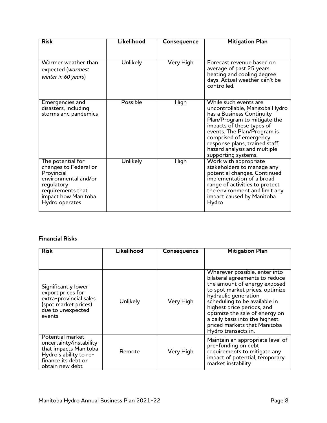| <b>Risk</b>                                                                                                                                                  | Likelihood | Consequence | <b>Mitigation Plan</b>                                                                                                                                                                                                                                                                              |
|--------------------------------------------------------------------------------------------------------------------------------------------------------------|------------|-------------|-----------------------------------------------------------------------------------------------------------------------------------------------------------------------------------------------------------------------------------------------------------------------------------------------------|
|                                                                                                                                                              |            |             |                                                                                                                                                                                                                                                                                                     |
| Warmer weather than<br>expected (warmest<br>winter in 60 years)                                                                                              | Unlikely   | Very High   | Forecast revenue based on<br>average of past 25 years<br>heating and cooling degree<br>days. Actual weather can't be<br>controlled.                                                                                                                                                                 |
| Emergencies and<br>disasters, including<br>storms and pandemics                                                                                              | Possible   | High        | While such events are<br>uncontrollable, Manitoba Hydro<br>has a Business Continuity<br>Plan/Program to mitigate the<br>impacts of these types of<br>events. The Plan/Program is<br>comprised of emergency<br>response plans, trained staff,<br>hazard analysis and multiple<br>supporting systems. |
| The potential for<br>changes to Federal or<br>Provincial<br>environmental and/or<br>regulatory<br>requirements that<br>impact how Manitoba<br>Hydro operates | Unlikely   | High        | Work with appropriate<br>stakeholders to manage any<br>potential changes. Continued<br>implementation of a broad<br>range of activities to protect<br>the environment and limit any<br>impact caused by Manitoba<br>Hydro                                                                           |

### Financial Risks

| <b>Risk</b>                                                                                                                              | Likelihood | Consequence | <b>Mitigation Plan</b>                                                                                                                                                                                                                                                                                                                               |
|------------------------------------------------------------------------------------------------------------------------------------------|------------|-------------|------------------------------------------------------------------------------------------------------------------------------------------------------------------------------------------------------------------------------------------------------------------------------------------------------------------------------------------------------|
| Significantly lower<br>export prices for<br>extra-provincial sales<br>(spot market prices)<br>due to unexpected<br>events                | Unlikely   | Very High   | Wherever possible, enter into<br>bilateral agreements to reduce<br>the amount of energy exposed<br>to spot market prices, optimize<br>hydraulic generation<br>scheduling to be available in<br>highest price periods, and<br>optimize the sale of energy on<br>a daily basis into the highest<br>priced markets that Manitoba<br>Hydro transacts in. |
| Potential market<br>uncertainty/instability<br>that impacts Manitoba<br>Hydro's ability to re-<br>finance its debt or<br>obtain new debt | Remote     | Very High   | Maintain an appropriate level of<br>pre-funding on debt<br>requirements to mitigate any<br>impact of potential, temporary<br>market instability                                                                                                                                                                                                      |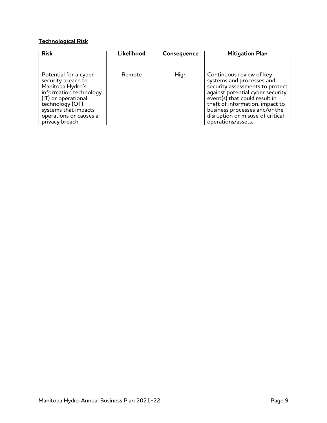### Technological Risk

| <b>Risk</b>                                                                                                                                                                                             | Likelihood | Consequence | <b>Mitigation Plan</b>                                                                                                                                                                                                                                                                      |
|---------------------------------------------------------------------------------------------------------------------------------------------------------------------------------------------------------|------------|-------------|---------------------------------------------------------------------------------------------------------------------------------------------------------------------------------------------------------------------------------------------------------------------------------------------|
|                                                                                                                                                                                                         |            |             |                                                                                                                                                                                                                                                                                             |
| Potential for a cyber<br>security breach to<br>Manitoba Hydro's<br>information technology<br>(IT) or operational<br>technology (OT)<br>systems that impacts<br>operations or causes a<br>privacy breach | Remote     | High        | Continuous review of key<br>systems and processes and<br>security assessments to protect<br>against potential cyber security<br>event(s) that could result in<br>theft of information, impact to<br>business processes and/or the<br>disruption or misuse of critical<br>operations/assets. |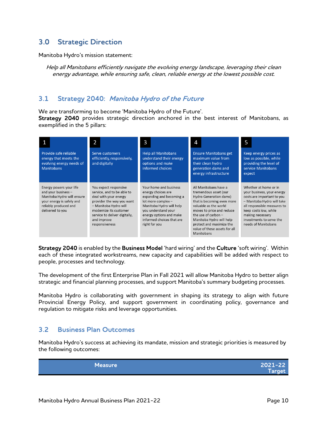## 3.0 Strategic Direction

Manitoba Hydro's mission statement:

Help all Manitobans efficiently navigate the evolving energy landscape, leveraging their clean energy advantage, while ensuring safe, clean, reliable energy at the lowest possible cost.

### 3.1 Strategy 2040: Manitoba Hydro of the Future

We are transforming to become 'Manitoba Hydro of the Future'.

Strategy 2040 provides strategic direction anchored in the best interest of Manitobans, as exemplified in the 5 pillars:

|                                                                                                                                                          | $\overline{2}$                                                                                                                                                                                                                 | 3                                                                                                                                                                                                                          |                                                                                                                                                                                                                                                                                              | 5                                                                                                                                                                                                                                              |
|----------------------------------------------------------------------------------------------------------------------------------------------------------|--------------------------------------------------------------------------------------------------------------------------------------------------------------------------------------------------------------------------------|----------------------------------------------------------------------------------------------------------------------------------------------------------------------------------------------------------------------------|----------------------------------------------------------------------------------------------------------------------------------------------------------------------------------------------------------------------------------------------------------------------------------------------|------------------------------------------------------------------------------------------------------------------------------------------------------------------------------------------------------------------------------------------------|
| Provide safe reliable<br>energy that meets the<br>evolving energy needs of<br><b>Manitobans</b>                                                          | Serve customers<br>efficiently, responsively,<br>and digitally                                                                                                                                                                 | <b>Help all Manitobans</b><br>understand their energy<br>options and make<br>informed choices                                                                                                                              | <b>Ensure Manitobans get</b><br>maximum value from<br>their clean hydro<br>generation dams and<br>energy infrastructure                                                                                                                                                                      | Keep energy prices as<br>low as possible, while<br>providing the level of<br>service Manitobans<br>expect                                                                                                                                      |
| Energy powers your life<br>and your business $-$<br>Manitoba Hydro will ensure<br>your energy is safely and<br>reliably produced and<br>delivered to you | You expect responsive<br>service, and to be able to<br>deal with your energy<br>provider the way you want<br>- Manitoba Hydro will<br>modernize its customer<br>service to deliver digitally,<br>and improve<br>responsiveness | Your home and business<br>energy choices are<br>expanding and becoming a<br>lot more complex -<br>Manitoba Hydro will help<br>you understand your<br>energy options and make<br>informed choices that are<br>right for you | All Manitobans have a<br>tremendous asset (our<br>Hydro Generation dams)<br>that is becoming even more<br>valuable as the world<br>moves to price and reduce<br>the use of carbon $-$<br>Manitoba Hydro will help<br>protect and maximize the<br>value of these assets for all<br>Manitobans | Whether at home or in<br>your business, your energy<br>costs are important to you<br>- Manitoba Hydro will take<br>all responsible measures to<br>keep costs low, while<br>making necessary<br>investments to serve the<br>needs of Manitobans |

Strategy 2040 is enabled by the Business Model 'hard wiring' and the Culture 'soft wiring'. Within each of these integrated workstreams, new capacity and capabilities will be added with respect to people, processes and technology.

The development of the first Enterprise Plan in Fall 2021 will allow Manitoba Hydro to better align strategic and financial planning processes, and support Manitoba's summary budgeting processes.

Manitoba Hydro is collaborating with government in shaping its strategy to align with future Provincial Energy Policy, and support government in coordinating policy, governance and regulation to mitigate risks and leverage opportunities.

### 3.2 Business Plan Outcomes

Manitoba Hydro's success at achieving its mandate, mission and strategic priorities is measured by the following outcomes:

| <b>Measure</b> | 2021-22       |
|----------------|---------------|
|                | <b>Target</b> |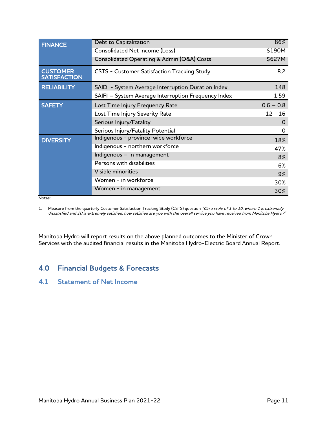| <b>FINANCE</b>                         | Debt to Capitalization                              | 86%         |
|----------------------------------------|-----------------------------------------------------|-------------|
|                                        | Consolidated Net Income (Loss)                      | \$190M      |
|                                        | Consolidated Operating & Admin (O&A) Costs          | \$627M      |
| <b>CUSTOMER</b><br><b>SATISFACTION</b> | <b>CSTS - Customer Satisfaction Tracking Study</b>  | 8.2         |
| <b>RELIABILITY</b>                     | SAIDI - System Average Interruption Duration Index  | 148         |
|                                        | SAIFI - System Average Interruption Frequency Index | 1.59        |
| <b>SAFETY</b>                          | Lost Time Injury Frequency Rate                     | $0.6 - 0.8$ |
|                                        | Lost Time Injury Severity Rate                      | $12 - 16$   |
|                                        | Serious Injury/Fatality                             | 0           |
|                                        | Serious Injury/Fatality Potential                   | 0           |
| <b>DIVERSITY</b>                       | Indigenous - province-wide workforce                | 18%         |
|                                        | Indigenous - northern workforce                     | 47%         |
|                                        | Indigenous - in management                          | 8%          |
|                                        | Persons with disabilities                           | 6%          |
|                                        | Visible minorities                                  | 9%          |
|                                        | Women - in workforce                                | 30%         |
|                                        | Women - in management                               | 30%         |

Notes:

1. Measure from the quarterly Customer Satisfaction Tracking Study (CSTS) question "On a scale of 1 to 10, where 1 is extremely dissatisfied and 10 is extremely satisfied, how satisfied are you with the overall service you have received from Manitoba Hydro?"

Manitoba Hydro will report results on the above planned outcomes to the Minister of Crown Services with the audited financial results in the Manitoba Hydro-Electric Board Annual Report.

## 4.0 Financial Budgets & Forecasts

### 4.1 Statement of Net Income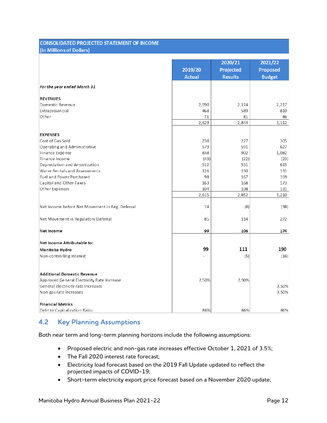#### **CONSOLIDATED PROJECTED STATEMENT OF INCOME** (In Millions of Dollars)

|                                                 | 2019/20<br><b>Actual</b> | 2020/21<br>Projected<br><b>Results</b> | 2021/22<br><b>Proposed</b><br><b>Budget</b> |
|-------------------------------------------------|--------------------------|----------------------------------------|---------------------------------------------|
| For the year ended March 31                     |                          |                                        |                                             |
| <b>REVENUES</b>                                 |                          |                                        |                                             |
| Domestic Revenue                                | 2,090                    | 2,174                                  | 2,217                                       |
| Extraprovincial                                 | 468                      | 589                                    | 810                                         |
| Other                                           | 71<br>2,629              | 81<br>2,844                            | 86<br>3,112                                 |
| <b>EXPENSES</b>                                 |                          |                                        |                                             |
| Cost of Gas Sold                                | 238                      | 277                                    | 305                                         |
| Operating and Administrative                    | 579                      | 591                                    | 627                                         |
| Finance Expense                                 | 838                      | 902                                    | 1,082                                       |
| Finance Income                                  | (43)                     | (22)                                   | (23)                                        |
| Depreciation and Amortization                   | 512                      | 531                                    | 615                                         |
| Water Rentals and Assessments                   | 126                      | 130                                    | 131                                         |
| Fuel and Power Purchased                        | 98                       | 167                                    | 169                                         |
| Capital and Other Taxes                         | 163                      | 168                                    | 173                                         |
| Other Expenses                                  | 104                      | 108                                    | 131                                         |
|                                                 | 2,615                    | 2,852                                  | 3,210                                       |
| Net Income before Net Movement in Reg. Deferral | 14                       | (8)                                    | (98)                                        |
| Net Movement in Regulatory Deferral             | 85                       | 114                                    | 272                                         |
| Net Income                                      | 99                       | 106                                    | 174                                         |
| Net Income Attributable to:                     |                          |                                        |                                             |
| Manitoba Hydro                                  | 99                       | 111                                    | 190                                         |
| Non-controlling Interest                        |                          | (5)                                    | (16)                                        |
| <b>Additional Domestic Revenue</b>              |                          |                                        |                                             |
| Approved General Electricity Rate Increase      | 2.50%                    | 2.90%                                  |                                             |
| General electricity rate increases              |                          |                                        | 3.50%                                       |
| Non-gas rate increases                          |                          |                                        | 3.50%                                       |
| <b>Financial Metrics</b>                        |                          |                                        |                                             |
| Debt to Capitalization Ratio                    | 86%                      | 86%                                    | 86%                                         |

## 4.2 Key Planning Assumptions

Both near term and long-term planning horizons include the following assumptions:

- Proposed electric and non-gas rate increases effective October 1, 2021 of 3.5%;
- The Fall 2020 interest rate forecast;
- Electricity load forecast based on the 2019 Fall Update updated to reflect the projected impacts of COVID-19;
- Short-term electricity export price forecast based on a November 2020 update;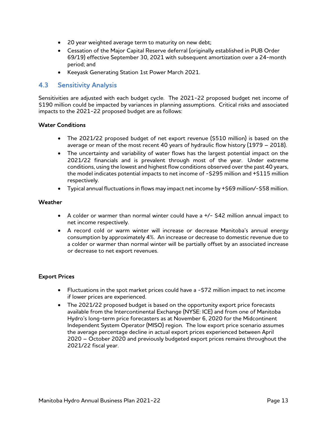- 20 year weighted average term to maturity on new debt;
- Cessation of the Major Capital Reserve deferral (originally established in PUB Order 69/19) effective September 30, 2021 with subsequent amortization over a 24-month period; and
- Keeyask Generating Station 1st Power March 2021.

### 4.3 Sensitivity Analysis

Sensitivities are adjusted with each budget cycle. The 2021-22 proposed budget net income of \$190 million could be impacted by variances in planning assumptions. Critical risks and associated impacts to the 2021-22 proposed budget are as follows:

#### Water Conditions

- The 2021/22 proposed budget of net export revenue (\$510 million) is based on the average or mean of the most recent 40 years of hydraulic flow history (1979 – 2018).
- The uncertainty and variability of water flows has the largest potential impact on the 2021/22 financials and is prevalent through most of the year. Under extreme conditions, using the lowest and highest flow conditions observed over the past 40 years, the model indicates potential impacts to net income of -\$295 million and +\$115 million respectively.
- Typical annual fluctuations in flows may impact net income by +\$69 million/-\$58 million.

#### **Weather**

- A colder or warmer than normal winter could have a +/- \$42 million annual impact to net income respectively.
- A record cold or warm winter will increase or decrease Manitoba's annual energy consumption by approximately 4%. An increase or decrease to domestic revenue due to a colder or warmer than normal winter will be partially offset by an associated increase or decrease to net export revenues.

#### Export Prices

- Fluctuations in the spot market prices could have a -\$72 million impact to net income if lower prices are experienced.
- The 2021/22 proposed budget is based on the opportunity export price forecasts available from the Intercontinental Exchange (NYSE: ICE) and from one of Manitoba Hydro's long-term price forecasters as at November 6, 2020 for the Midcontinent Independent System Operator (MISO) region. The low export price scenario assumes the average percentage decline in actual export prices experienced between April 2020 – October 2020 and previously budgeted export prices remains throughout the 2021/22 fiscal year.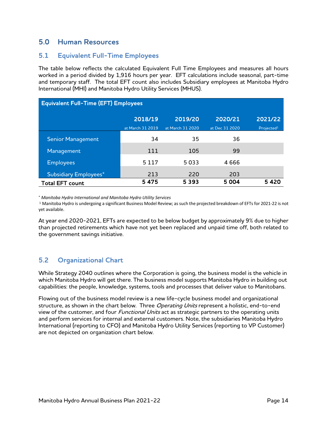## 5.0 Human Resources

### 5.1 Equivalent Full-Time Employees

The table below reflects the calculated Equivalent Full Time Employees and measures all hours worked in a period divided by 1,916 hours per year. EFT calculations include seasonal, part-time and temporary staff. The total EFT count also includes Subsidiary employees at Manitoba Hydro International (MHI) and Manitoba Hydro Utility Services (MHUS).

| <b>Equivalent Full-Time (EFT) Employees</b> |                  |                  |                |                        |  |  |
|---------------------------------------------|------------------|------------------|----------------|------------------------|--|--|
|                                             | 2018/19          | 2019/20          | 2020/21        | 2021/22                |  |  |
|                                             | at March 31 2019 | at March 31 2020 | at Dec 31 2020 | Projected <sup>1</sup> |  |  |
| <b>Senior Management</b>                    | 34               | 35               | 36             |                        |  |  |
| Management                                  | 111              | 105              | 99             |                        |  |  |
| <b>Employees</b>                            | 5 1 1 7          | 5 0 3 3          | 4666           |                        |  |  |
| Subsidiary Employees*                       | 213              | 220              | 203            |                        |  |  |
| <b>Total EFT count</b>                      | 5475             | 5 3 9 3          | 5 0 0 4        | 5420                   |  |  |

\* *Manitoba Hydro International and Manitoba Hydro Utility Services*

<sup>1</sup> Manitoba Hydro is undergoing a significant Business Model Review; as such the projected breakdown of EFTs for 2021-22 is not yet available.

At year end 2020-2021, EFTs are expected to be below budget by approximately 9% due to higher than projected retirements which have not yet been replaced and unpaid time off, both related to the government savings initiative.

## 5.2 Organizational Chart

While Strategy 2040 outlines where the Corporation is going, the business model is the vehicle in which Manitoba Hydro will get there. The business model supports Manitoba Hydro in building out capabilities: the people, knowledge, systems, tools and processes that deliver value to Manitobans.

Flowing out of the business model review is a new life-cycle business model and organizational structure, as shown in the chart below. Three *Operating Units* represent a holistic, end-to-end view of the customer, and four *Functional Units* act as strategic partners to the operating units and perform services for internal and external customers. Note, the subsidiaries Manitoba Hydro International (reporting to CFO) and Manitoba Hydro Utility Services (reporting to VP Customer) are not depicted on organization chart below.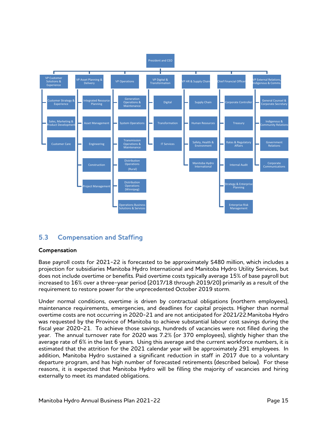

## 5.3 Compensation and Staffing

#### Compensation

Base payroll costs for 2021-22 is forecasted to be approximately \$480 million, which includes a projection for subsidiaries Manitoba Hydro International and Manitoba Hydro Utility Services, but does not include overtime or benefits. Paid overtime costs typically average 15% of base payroll but increased to 16% over a three-year period (2017/18 through 2019/20) primarily as a result of the requirement to restore power for the unprecedented October 2019 storm.

Under normal conditions, overtime is driven by contractual obligations (northern employees), maintenance requirements, emergencies, and deadlines for capital projects. Higher than normal overtime costs are not occurring in 2020-21 and are not anticipated for 2021/22.Manitoba Hydro was requested by the Province of Manitoba to achieve substantial labour cost savings during the fiscal year 2020-21. To achieve those savings, hundreds of vacancies were not filled during the year. The annual turnover rate for 2020 was 7.2% (or 370 employees), slightly higher than the average rate of 6% in the last 6 years. Using this average and the current workforce numbers, it is estimated that the attrition for the 2021 calendar year will be approximately 291 employees. In addition, Manitoba Hydro sustained a significant reduction in staff in 2017 due to a voluntary departure program, and has high number of forecasted retirements (described below). For these reasons, it is expected that Manitoba Hydro will be filling the majority of vacancies and hiring externally to meet its mandated obligations.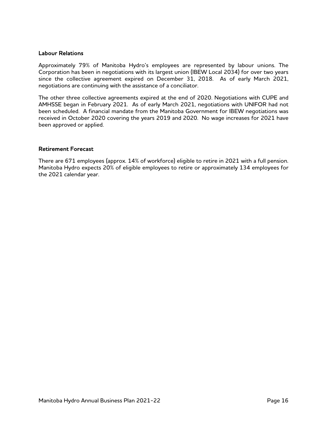#### Labour Relations

Approximately 79% of Manitoba Hydro's employees are represented by labour unions. The Corporation has been in negotiations with its largest union (IBEW Local 2034) for over two years since the collective agreement expired on December 31, 2018. As of early March 2021, negotiations are continuing with the assistance of a conciliator.

The other three collective agreements expired at the end of 2020. Negotiations with CUPE and AMHSSE began in February 2021. As of early March 2021, negotiations with UNIFOR had not been scheduled. A financial mandate from the Manitoba Government for IBEW negotiations was received in October 2020 covering the years 2019 and 2020. No wage increases for 2021 have been approved or applied.

#### Retirement Forecast

There are 671 employees (approx. 14% of workforce) eligible to retire in 2021 with a full pension. Manitoba Hydro expects 20% of eligible employees to retire or approximately 134 employees for the 2021 calendar year.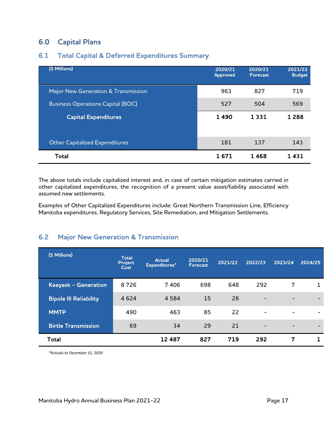## 6.0 Capital Plans

| (\$ Millions)                            | 2020/21<br><b>Approved</b> | 2020/21<br>Forecast | 2021/22<br><b>Budget</b> |
|------------------------------------------|----------------------------|---------------------|--------------------------|
| Major New Generation & Transmission      | 963                        | 827                 | 719                      |
| <b>Business Operations Capital (BOC)</b> | 527                        | 504                 | 569                      |
| <b>Capital Expenditures</b>              | 1490                       | 1 3 3 1             | 1 2 8 8                  |
| <b>Other Capitalized Expenditures</b>    | 181                        | 137                 | 143                      |
| Total                                    | 1671                       | 1468                | 1431                     |

### 6.1 Total Capital & Deferred Expenditures Summary

The above totals include capitalized interest and, in case of certain mitigation estimates carried in other capitalized expenditures, the recognition of a present value asset/liability associated with assumed new settlements.

Examples of Other Capitalized Expenditures include: Great Northern Transmission Line, Efficiency Manitoba expenditures, Regulatory Services, Site Remediation, and Mitigation Settlements.

## 6.2 Major New Generation & Transmission

| (\$ Millions)                 | <b>Total</b><br><b>Project</b><br>Cost | <b>Actual</b><br>Expenditures* | 2020/21<br><b>Forecast</b> | 2021/22 | 2022/23                      | 2023/24 | 2024/25 |
|-------------------------------|----------------------------------------|--------------------------------|----------------------------|---------|------------------------------|---------|---------|
| <b>Keeyask - Generation</b>   | 8726                                   | 7406                           | 698                        | 648     | 292                          | 7       | 1       |
| <b>Bipole III Reliability</b> | 4624                                   | 4584                           | 15                         | 28      | $\qquad \qquad \blacksquare$ | -       |         |
| <b>MMTP</b>                   | 490                                    | 463                            | 85                         | 22      | $\overline{\phantom{a}}$     | -       |         |
| <b>Birtle Transmission</b>    | 69                                     | 34                             | 29                         | 21      | $\overline{\phantom{0}}$     |         |         |
| Total                         |                                        | 12 487                         | 827                        | 719     | 292                          | 7       | 1       |

*\*Actuals to December 31, 2020*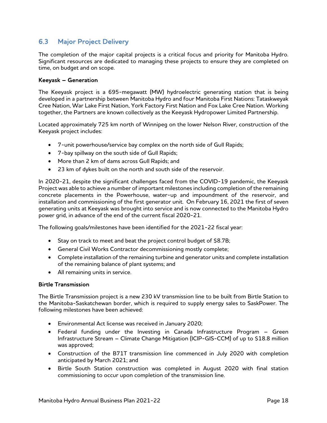## 6.3 Major Project Delivery

The completion of the major capital projects is a critical focus and priority for Manitoba Hydro. Significant resources are dedicated to managing these projects to ensure they are completed on time, on budget and on scope.

#### Keeyask – Generation

The Keeyask project is a 695-megawatt (MW) hydroelectric generating station that is being developed in a partnership between Manitoba Hydro and four Manitoba First Nations: Tataskweyak Cree Nation, War Lake First Nation, York Factory First Nation and Fox Lake Cree Nation. Working together, the Partners are known collectively as the Keeyask Hydropower Limited Partnership.

Located approximately 725 km north of Winnipeg on the lower Nelson River, construction of the Keeyask project includes:

- 7-unit powerhouse/service bay complex on the north side of Gull Rapids;
- 7-bay spillway on the south side of Gull Rapids;
- More than 2 km of dams across Gull Rapids; and
- 23 km of dykes built on the north and south side of the reservoir.

In 2020-21, despite the significant challenges faced from the COVID-19 pandemic, the Keeyask Project was able to achieve a number of important milestones including completion of the remaining concrete placements in the Powerhouse, water-up and impoundment of the reservoir, and installation and commissioning of the first generator unit. On February 16, 2021 the first of seven generating units at Keeyask was brought into service and is now connected to the Manitoba Hydro power grid, in advance of the end of the current fiscal 2020-21.

The following goals/milestones have been identified for the 2021-22 fiscal year:

- Stay on track to meet and beat the project control budget of \$8.7B;
- General Civil Works Contractor decommissioning mostly complete;
- Complete installation of the remaining turbine and generator units and complete installation of the remaining balance of plant systems; and
- All remaining units in service.

#### Birtle Transmission

The Birtle Transmission project is a new 230 kV transmission line to be built from Birtle Station to the Manitoba-Saskatchewan border, which is required to supply energy sales to SaskPower. The following milestones have been achieved:

- Environmental Act license was received in January 2020;
- Federal funding under the Investing in Canada Infrastructure Program Green Infrastructure Stream – Climate Change Mitigation (ICIP-GIS-CCM) of up to \$18.8 million was approved;
- Construction of the B71T transmission line commenced in July 2020 with completion anticipated by March 2021; and
- Birtle South Station construction was completed in August 2020 with final station commissioning to occur upon completion of the transmission line.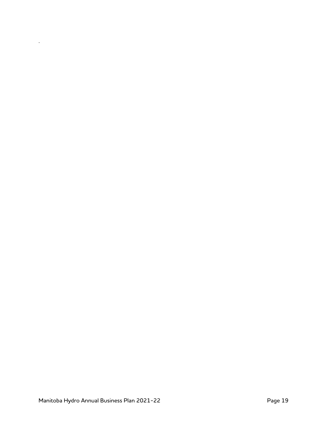.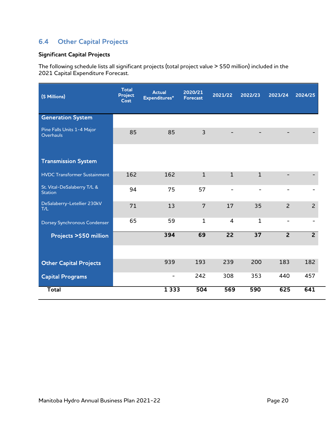## 6.4 Other Capital Projects

### Significant Capital Projects

The following schedule lists all significant projects (total project value > \$50 million) included in the 2021 Capital Expenditure Forecast.

| (\$ Millions)                                 | <b>Total</b><br>Project<br><b>Cost</b> | <b>Actual</b><br>Expenditures* | 2020/21<br>Forecast | 2021/22         | 2022/23         | 2023/24                  | 2024/25        |
|-----------------------------------------------|----------------------------------------|--------------------------------|---------------------|-----------------|-----------------|--------------------------|----------------|
| <b>Generation System</b>                      |                                        |                                |                     |                 |                 |                          |                |
| Pine Falls Units 1-4 Major<br>Overhauls       | 85                                     | 85                             | $\overline{3}$      |                 |                 |                          |                |
| <b>Transmission System</b>                    |                                        |                                |                     |                 |                 |                          |                |
| <b>HVDC Transformer Sustainment</b>           | 162                                    | 162                            | $\mathbf{1}$        | $\mathbf{1}$    | $\mathbf{1}$    | $\qquad \qquad -$        |                |
| St. Vital-DeSalaberry T/L &<br><b>Station</b> | 94                                     | 75                             | 57                  | -               |                 |                          |                |
| DeSalaberry-Letellier 230kV<br>T/L            | 71                                     | 13                             | $\overline{7}$      | 17              | 35              | $\overline{2}$           | $\overline{2}$ |
| Dorsey Synchronous Condenser                  | 65                                     | 59                             | 1                   | $\overline{4}$  | $\mathbf{1}$    | $\overline{\phantom{a}}$ | -              |
| Projects > \$50 million                       |                                        | 394                            | 69                  | $\overline{22}$ | $\overline{37}$ | $\overline{2}$           | $\overline{2}$ |
|                                               |                                        |                                |                     |                 |                 |                          |                |
| <b>Other Capital Projects</b>                 |                                        | 939                            | 193                 | 239             | 200             | 183                      | 182            |
| <b>Capital Programs</b>                       |                                        |                                | 242                 | 308             | 353             | 440                      | 457            |
| <b>Total</b>                                  |                                        | 1 3 3 3                        | 504                 | 569             | 590             | 625                      | 641            |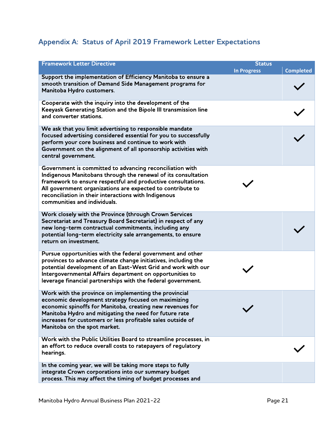# Appendix A: Status of April 2019 Framework Letter Expectations

| <b>Framework Letter Directive</b>                                                                                                                                                                                                                                                                                                               | <b>Status</b>      |                  |
|-------------------------------------------------------------------------------------------------------------------------------------------------------------------------------------------------------------------------------------------------------------------------------------------------------------------------------------------------|--------------------|------------------|
| Support the implementation of Efficiency Manitoba to ensure a<br>smooth transition of Demand Side Management programs for<br>Manitoba Hydro customers.                                                                                                                                                                                          | <b>In Progress</b> | <b>Completed</b> |
| Cooperate with the inquiry into the development of the<br>Keeyask Generating Station and the Bipole III transmission line<br>and converter stations.                                                                                                                                                                                            |                    |                  |
| We ask that you limit advertising to responsible mandate<br>focused advertising considered essential for you to successfully<br>perform your core business and continue to work with<br>Government on the alignment of all sponsorship activities with<br>central government.                                                                   |                    |                  |
| Government is committed to advancing reconciliation with<br>Indigenous Manitobans through the renewal of its consultation<br>framework to ensure respectful and productive consultations.<br>All government organizations are expected to contribute to<br>reconciliation in their interactions with Indigenous<br>communities and individuals. |                    |                  |
| Work closely with the Province (through Crown Services<br>Secretariat and Treasury Board Secretariat) in respect of any<br>new long-term contractual commitments, including any<br>potential long-term electricity sale arrangements, to ensure<br>return on investment.                                                                        |                    |                  |
| Pursue opportunities with the federal government and other<br>provinces to advance climate change initiatives, including the<br>potential development of an East-West Grid and work with our<br>Intergovernmental Affairs department on opportunities to<br>leverage financial partnerships with the federal government.                        |                    |                  |
| Work with the province on implementing the provincial<br>economic development strategy focused on maximizing<br>economic spinoffs for Manitoba, creating new revenues for<br>Manitoba Hydro and mitigating the need for future rate<br>increases for customers or less profitable sales outside of<br>Manitoba on the spot market.              |                    |                  |
| Work with the Public Utilities Board to streamline processes, in<br>an effort to reduce overall costs to ratepayers of regulatory<br>hearings.                                                                                                                                                                                                  |                    |                  |
| In the coming year, we will be taking more steps to fully<br>integrate Crown corporations into our summary budget<br>process. This may affect the timing of budget processes and                                                                                                                                                                |                    |                  |